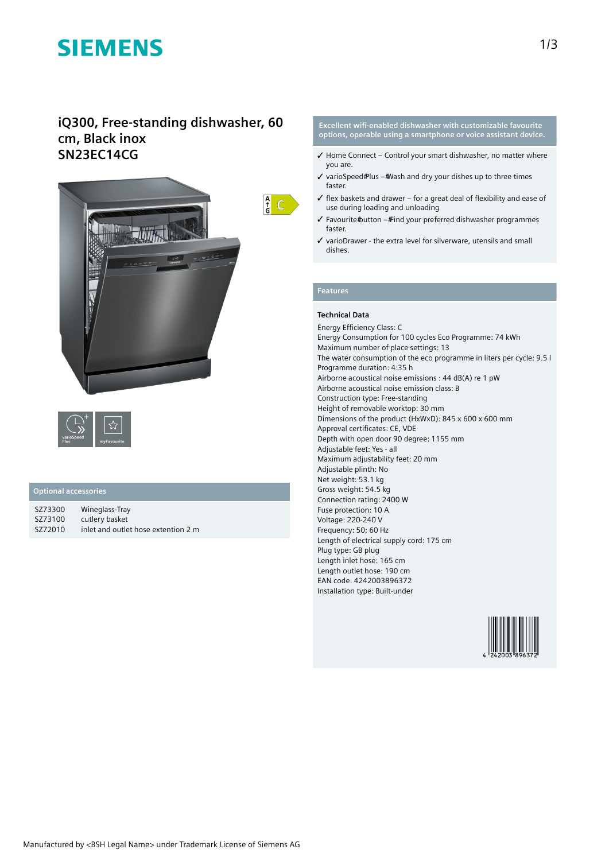# **SIEMENS**

### **iQ300, Free-standing dishwasher, 60 cm, Black inox SN23EC14CG**





#### **Optional accessories**

| SZ73300 | Wineglass-Tray                      |
|---------|-------------------------------------|
| SZ73100 | cutlery basket                      |
| SZ72010 | inlet and outlet hose extention 2 m |

**Excellent wifi-enabled dishwasher with customizable favourite options, operable using a smartphone or voice assistant device.**

- $\checkmark$  Home Connect Control your smart dishwasher, no matter where you are.
- $\checkmark$  varioSpeed Plus # Wash and dry your dishes up to three times faster.
- $\checkmark$  flex baskets and drawer for a great deal of flexibility and ease of use during loading and unloading
- ✓ Favourite button Find your preferred dishwasher programmes faster.
- ✓ varioDrawer the extra level for silverware, utensils and small dishes.

### **Features**

#### **Technical Data**

Energy Efficiency Class: C Energy Consumption for 100 cycles Eco Programme: 74 kWh Maximum number of place settings: 13 The water consumption of the eco programme in liters per cycle: 9.5 l Programme duration: 4:35 h Airborne acoustical noise emissions : 44 dB(A) re 1 pW Airborne acoustical noise emission class: B Construction type: Free-standing Height of removable worktop: 30 mm Dimensions of the product (HxWxD): 845 x 600 x 600 mm Approval certificates: CE, VDE Depth with open door 90 degree: 1155 mm Adjustable feet: Yes - all Maximum adjustability feet: 20 mm Adjustable plinth: No Net weight: 53.1 kg Gross weight: 54.5 kg Connection rating: 2400 W Fuse protection: 10 A Voltage: 220-240 V Frequency: 50; 60 Hz Length of electrical supply cord: 175 cm Plug type: GB plug Length inlet hose: 165 cm Length outlet hose: 190 cm EAN code: 4242003896372 Installation type: Built-under

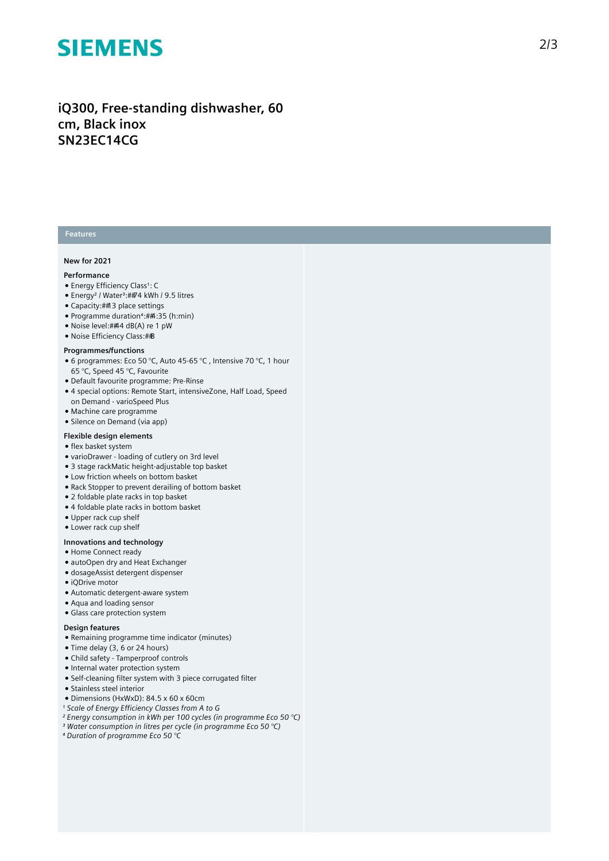## **SIEMENS**

### iQ300, Free-standing dishwasher, 60 **c m , B l a c k i n o x SN23EC14CG**

#### **Features**

#### **New for 2021**

#### **Performance**

- Energy Efficiency Class1: C
- Energy<sup>2</sup> / Water<sup>3</sup>:##74 kWh / 9.5 litres
- Capacity: ## 3 place settings
- Programme duration<sup>4</sup>:##4:35 (h:min)
- Noise level:##4 dB(A) re 1 pW
- Noise Efficiency Class:##B

#### **Programmes/functions**

- $\bullet$  6 programmes: Eco 50 °C, Auto 45-65 °C , Intensive 70 °C, 1 hour 65 °C, Speed 45 °C, Favourite
- Default favourite programme: Pre-Rinse
- 4 special options: Remote Start, intensiveZone, Half Load, Speed on Demand - varioSpeed Plus
- Machine care programme
- Silence on Demand (via app)

#### **Flexible design elements**

- flex basket system
- varioDrawer loading of cutlery on 3rd level
- 3 stage rackMatic height-adjustable top basket
- Low friction wheels on bottom basket
- Rack Stopper to prevent derailing of bottom basket
- 2 foldable plate racks in top basket
- 4 foldable plate racks in bottom basket
- Upper rack cup shelf
- Lower rack cup shelf

#### **lnnovations and technology**

- Home Connect ready
- autoOpen dry and Heat Exchanger
- dosageAssist detergent dispenser
- $\bullet$  iQDrive motor
- Automatic detergent-aware system
- Aqua and loading sensor
- Glass care protection system

#### Design features

- Remaining programme time indicator (minutes)
- Time delay (3, 6 or 24 hours)
- Child safety Tamperproof controls
- Internal water protection system
- $\bullet$  Self-cleaning filter system with 3 piece corrugated filter
- Stainless steel interior
- Dimensions (HxWxD): 84.5 x 60 x 60cm
- *¹ Scale of Energy Efficiency Classes from A to G*
- *² Energy consumption in kWh per 100 cycles (in programme Eco 50 °C)*
- *³ Water consumption in litres per cycle (in programme Eco 50 °C)*
- *⁴ Duration of programme Eco 50 °C*